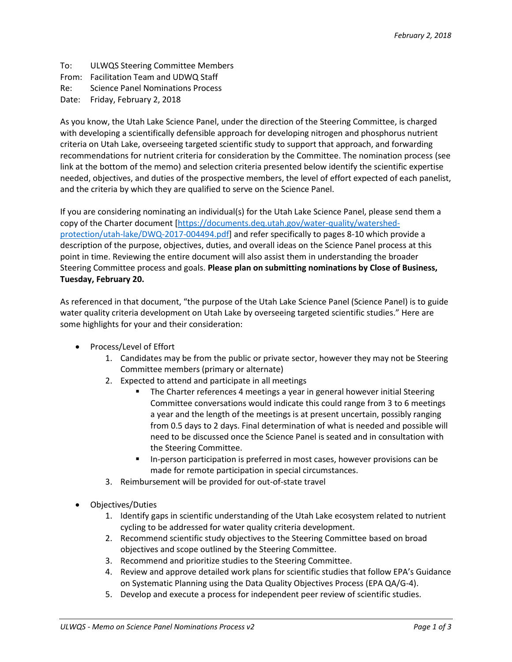To: ULWQS Steering Committee Members From: Facilitation Team and UDWQ Staff Re: Science Panel Nominations Process Date: Friday, February 2, 2018

As you know, the Utah Lake Science Panel, under the direction of the Steering Committee, is charged with developing a scientifically defensible approach for developing nitrogen and phosphorus nutrient criteria on Utah Lake, overseeing targeted scientific study to support that approach, and forwarding recommendations for nutrient criteria for consideration by the Committee. The nomination process (see link at the bottom of the memo) and selection criteria presented below identify the scientific expertise needed, objectives, and duties of the prospective members, the level of effort expected of each panelist, and the criteria by which they are qualified to serve on the Science Panel.

If you are considering nominating an individual(s) for the Utah Lake Science Panel, please send them a copy of the Charter document [\[https://documents.deq.utah.gov/water-quality/watershed](https://documents.deq.utah.gov/water-quality/watershed-protection/utah-lake/DWQ-2017-004494.pdf)[protection/utah-lake/DWQ-2017-004494.pdf\]](https://documents.deq.utah.gov/water-quality/watershed-protection/utah-lake/DWQ-2017-004494.pdf) and refer specifically to pages 8-10 which provide a description of the purpose, objectives, duties, and overall ideas on the Science Panel process at this point in time. Reviewing the entire document will also assist them in understanding the broader Steering Committee process and goals. **Please plan on submitting nominations by Close of Business, Tuesday, February 20.**

As referenced in that document, "the purpose of the Utah Lake Science Panel (Science Panel) is to guide water quality criteria development on Utah Lake by overseeing targeted scientific studies." Here are some highlights for your and their consideration:

- Process/Level of Effort
	- 1. Candidates may be from the public or private sector, however they may not be Steering Committee members (primary or alternate)
	- 2. Expected to attend and participate in all meetings
		- The Charter references 4 meetings a year in general however initial Steering Committee conversations would indicate this could range from 3 to 6 meetings a year and the length of the meetings is at present uncertain, possibly ranging from 0.5 days to 2 days. Final determination of what is needed and possible will need to be discussed once the Science Panel is seated and in consultation with the Steering Committee.
		- In-person participation is preferred in most cases, however provisions can be made for remote participation in special circumstances.
	- 3. Reimbursement will be provided for out-of-state travel
- Objectives/Duties
	- 1. Identify gaps in scientific understanding of the Utah Lake ecosystem related to nutrient cycling to be addressed for water quality criteria development.
	- 2. Recommend scientific study objectives to the Steering Committee based on broad objectives and scope outlined by the Steering Committee.
	- 3. Recommend and prioritize studies to the Steering Committee.
	- 4. Review and approve detailed work plans for scientific studies that follow EPA's Guidance on Systematic Planning using the Data Quality Objectives Process (EPA QA/G-4).
	- 5. Develop and execute a process for independent peer review of scientific studies.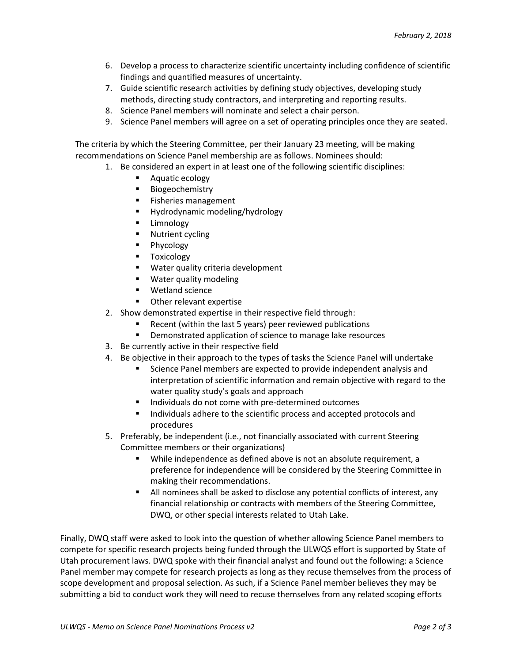- 6. Develop a process to characterize scientific uncertainty including confidence of scientific findings and quantified measures of uncertainty.
- 7. Guide scientific research activities by defining study objectives, developing study methods, directing study contractors, and interpreting and reporting results.
- 8. Science Panel members will nominate and select a chair person.
- 9. Science Panel members will agree on a set of operating principles once they are seated.

The criteria by which the Steering Committee, per their January 23 meeting, will be making recommendations on Science Panel membership are as follows. Nominees should:

- 1. Be considered an expert in at least one of the following scientific disciplines:
	- **Aquatic ecology**
	- **Biogeochemistry**
	- **Fisheries management**
	- **Hydrodynamic modeling/hydrology**
	- Limnology
	- **Nutrient cycling**
	- **Phycology**
	- **Toxicology**
	- Water quality criteria development
	- **Water quality modeling**
	- Wetland science
	- Other relevant expertise
- 2. Show demonstrated expertise in their respective field through:
	- Recent (within the last 5 years) peer reviewed publications
	- Demonstrated application of science to manage lake resources
- 3. Be currently active in their respective field
- 4. Be objective in their approach to the types of tasks the Science Panel will undertake
	- Science Panel members are expected to provide independent analysis and interpretation of scientific information and remain objective with regard to the water quality study's goals and approach
	- Individuals do not come with pre-determined outcomes
	- Individuals adhere to the scientific process and accepted protocols and procedures
- 5. Preferably, be independent (i.e., not financially associated with current Steering Committee members or their organizations)
	- While independence as defined above is not an absolute requirement, a preference for independence will be considered by the Steering Committee in making their recommendations.
	- All nominees shall be asked to disclose any potential conflicts of interest, any financial relationship or contracts with members of the Steering Committee, DWQ, or other special interests related to Utah Lake.

Finally, DWQ staff were asked to look into the question of whether allowing Science Panel members to compete for specific research projects being funded through the ULWQS effort is supported by State of Utah procurement laws. DWQ spoke with their financial analyst and found out the following: a Science Panel member may compete for research projects as long as they recuse themselves from the process of scope development and proposal selection. As such, if a Science Panel member believes they may be submitting a bid to conduct work they will need to recuse themselves from any related scoping efforts